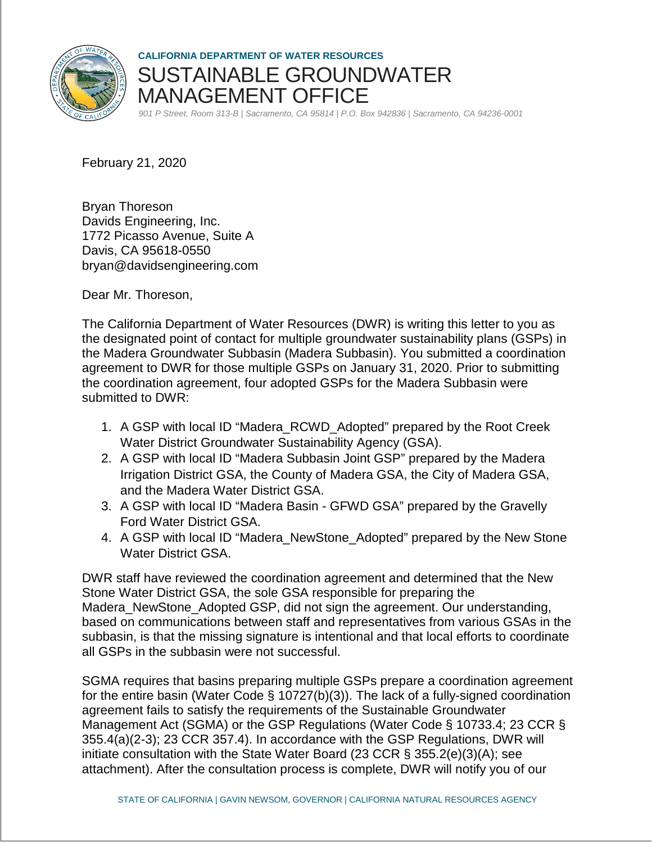

**CALIFORNIA DEPARTMENT OF WATER RESOURCES**  SUSTAINABLE GROUNDWATER MANAGEMENT OFFICE

*901 P Street, Room 313-B | Sacramento, CA 95814 | P.O. Box 942836 | Sacramento, CA 94236-0001*

February 21, 2020

Bryan Thoreson Davids Engineering, Inc. 1772 Picasso Avenue, Suite A Davis, CA 95618-0550 bryan@davidsengineering.com

Dear Mr. Thoreson,

The California Department of Water Resources (DWR) is writing this letter to you as the designated point of contact for multiple groundwater sustainability plans (GSPs) in the Madera Groundwater Subbasin (Madera Subbasin). You submitted a coordination agreement to DWR for those multiple GSPs on January 31, 2020. Prior to submitting the coordination agreement, four adopted GSPs for the Madera Subbasin were submitted to DWR:

- 1. A GSP with local ID "Madera\_RCWD\_Adopted" prepared by the Root Creek Water District Groundwater Sustainability Agency (GSA).
- 2. A GSP with local ID "Madera Subbasin Joint GSP" prepared by the Madera Irrigation District GSA, the County of Madera GSA, the City of Madera GSA, and the Madera Water District GSA.
- 3. A GSP with local ID "Madera Basin GFWD GSA" prepared by the Gravelly Ford Water District GSA.
- 4. A GSP with local ID "Madera\_NewStone\_Adopted" prepared by the New Stone Water District GSA.

DWR staff have reviewed the coordination agreement and determined that the New Stone Water District GSA, the sole GSA responsible for preparing the Madera\_NewStone\_Adopted GSP, did not sign the agreement. Our understanding, based on communications between staff and representatives from various GSAs in the subbasin, is that the missing signature is intentional and that local efforts to coordinate all GSPs in the subbasin were not successful.

SGMA requires that basins preparing multiple GSPs prepare a coordination agreement for the entire basin (Water Code § 10727(b)(3)). The lack of a fully-signed coordination agreement fails to satisfy the requirements of the Sustainable Groundwater Management Act (SGMA) or the GSP Regulations (Water Code § 10733.4; 23 CCR § 355.4(a)(2-3); 23 CCR 357.4). In accordance with the GSP Regulations, DWR will initiate consultation with the State Water Board (23 CCR § 355.2(e)(3)(A); see attachment). After the consultation process is complete, DWR will notify you of our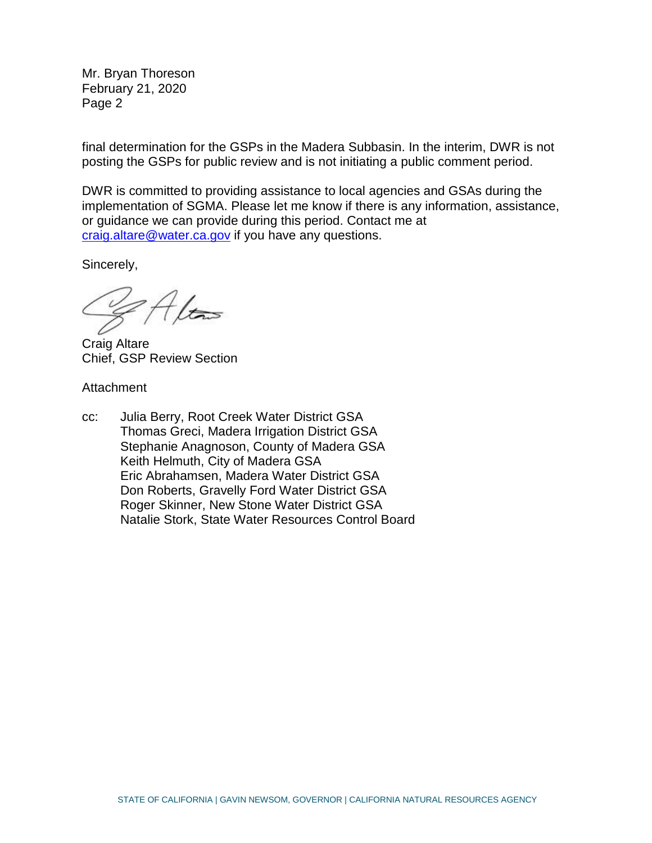Mr. Bryan Thoreson February 21, 2020 Page 2

final determination for the GSPs in the Madera Subbasin. In the interim, DWR is not posting the GSPs for public review and is not initiating a public comment period.

DWR is committed to providing assistance to local agencies and GSAs during the implementation of SGMA. Please let me know if there is any information, assistance, or guidance we can provide during this period. Contact me at [craig.altare@water.ca.gov](mailto:craig.altare@water.ca.gov) if you have any questions.

Sincerely,

Craig Altare Chief, GSP Review Section

**Attachment** 

cc: Julia Berry, Root Creek Water District GSA Thomas Greci, Madera Irrigation District GSA Stephanie Anagnoson, County of Madera GSA Keith Helmuth, City of Madera GSA Eric Abrahamsen, Madera Water District GSA Don Roberts, Gravelly Ford Water District GSA Roger Skinner, New Stone Water District GSA Natalie Stork, State Water Resources Control Board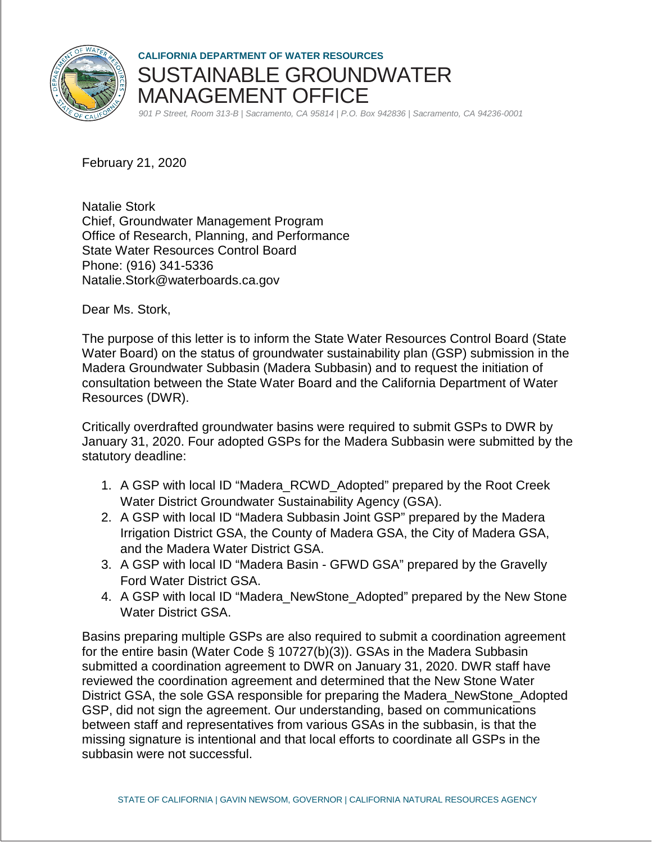

**CALIFORNIA DEPARTMENT OF WATER RESOURCES**  SUSTAINABLE GROUNDWATER MANAGEMENT OFFICE

*901 P Street, Room 313-B | Sacramento, CA 95814 | P.O. Box 942836 | Sacramento, CA 94236-0001*

February 21, 2020

Natalie Stork Chief, Groundwater Management Program Office of Research, Planning, and Performance State Water Resources Control Board Phone: (916) 341-5336 Natalie.Stork@waterboards.ca.gov

Dear Ms. Stork,

The purpose of this letter is to inform the State Water Resources Control Board (State Water Board) on the status of groundwater sustainability plan (GSP) submission in the Madera Groundwater Subbasin (Madera Subbasin) and to request the initiation of consultation between the State Water Board and the California Department of Water Resources (DWR).

Critically overdrafted groundwater basins were required to submit GSPs to DWR by January 31, 2020. Four adopted GSPs for the Madera Subbasin were submitted by the statutory deadline:

- 1. A GSP with local ID "Madera\_RCWD\_Adopted" prepared by the Root Creek Water District Groundwater Sustainability Agency (GSA).
- 2. A GSP with local ID "Madera Subbasin Joint GSP" prepared by the Madera Irrigation District GSA, the County of Madera GSA, the City of Madera GSA, and the Madera Water District GSA.
- 3. A GSP with local ID "Madera Basin GFWD GSA" prepared by the Gravelly Ford Water District GSA.
- 4. A GSP with local ID "Madera\_NewStone\_Adopted" prepared by the New Stone Water District GSA.

Basins preparing multiple GSPs are also required to submit a coordination agreement for the entire basin (Water Code § 10727(b)(3)). GSAs in the Madera Subbasin submitted a coordination agreement to DWR on January 31, 2020. DWR staff have reviewed the coordination agreement and determined that the New Stone Water District GSA, the sole GSA responsible for preparing the Madera\_NewStone\_Adopted GSP, did not sign the agreement. Our understanding, based on communications between staff and representatives from various GSAs in the subbasin, is that the missing signature is intentional and that local efforts to coordinate all GSPs in the subbasin were not successful.